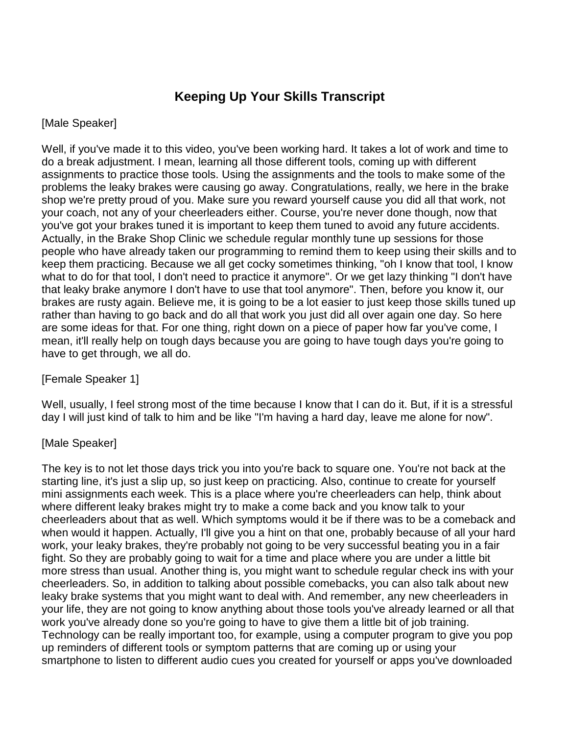## **Keeping Up Your Skills Transcript**

## [Male Speaker]

Well, if you've made it to this video, you've been working hard. It takes a lot of work and time to do a break adjustment. I mean, learning all those different tools, coming up with different assignments to practice those tools. Using the assignments and the tools to make some of the problems the leaky brakes were causing go away. Congratulations, really, we here in the brake shop we're pretty proud of you. Make sure you reward yourself cause you did all that work, not your coach, not any of your cheerleaders either. Course, you're never done though, now that you've got your brakes tuned it is important to keep them tuned to avoid any future accidents. Actually, in the Brake Shop Clinic we schedule regular monthly tune up sessions for those people who have already taken our programming to remind them to keep using their skills and to keep them practicing. Because we all get cocky sometimes thinking, "oh I know that tool, I know what to do for that tool, I don't need to practice it anymore". Or we get lazy thinking "I don't have that leaky brake anymore I don't have to use that tool anymore". Then, before you know it, our brakes are rusty again. Believe me, it is going to be a lot easier to just keep those skills tuned up rather than having to go back and do all that work you just did all over again one day. So here are some ideas for that. For one thing, right down on a piece of paper how far you've come, I mean, it'll really help on tough days because you are going to have tough days you're going to have to get through, we all do.

[Female Speaker 1]

Well, usually, I feel strong most of the time because I know that I can do it. But, if it is a stressful day I will just kind of talk to him and be like "I'm having a hard day, leave me alone for now".

## [Male Speaker]

The key is to not let those days trick you into you're back to square one. You're not back at the starting line, it's just a slip up, so just keep on practicing. Also, continue to create for yourself mini assignments each week. This is a place where you're cheerleaders can help, think about where different leaky brakes might try to make a come back and you know talk to your cheerleaders about that as well. Which symptoms would it be if there was to be a comeback and when would it happen. Actually, I'll give you a hint on that one, probably because of all your hard work, your leaky brakes, they're probably not going to be very successful beating you in a fair fight. So they are probably going to wait for a time and place where you are under a little bit more stress than usual. Another thing is, you might want to schedule regular check ins with your cheerleaders. So, in addition to talking about possible comebacks, you can also talk about new leaky brake systems that you might want to deal with. And remember, any new cheerleaders in your life, they are not going to know anything about those tools you've already learned or all that work you've already done so you're going to have to give them a little bit of job training. Technology can be really important too, for example, using a computer program to give you pop up reminders of different tools or symptom patterns that are coming up or using your smartphone to listen to different audio cues you created for yourself or apps you've downloaded